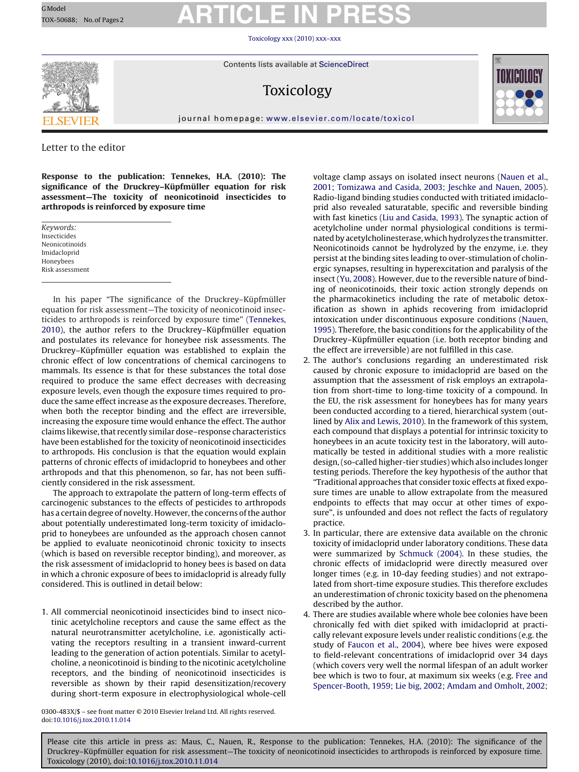# GModel GModel Reserves **ARTICLE IN PRESS**

Toxicology [xxx \(2010\) xxx–xxx](dx.doi.org/10.1016/j.tox.2010.11.014)



Contents lists available at [ScienceDirect](http://www.sciencedirect.com/science/journal/0300483X)

## Toxicology



journal homepage: [www.elsevier.com/locate/toxicol](http://www.elsevier.com/locate/toxicol)

Letter to the editor

**Response to the publication: Tennekes, H.A. (2010): The significance of the Druckrey–Küpfmüller equation for risk assessment—The toxicity of neonicotinoid insecticides to arthropods is reinforced by exposure time**

Keywords: Insecticides Neonicotinoids Imidacloprid Honeybees Risk assessment

In his paper "The significance of the Druckrey–Küpfmüller equation for risk assessment—The toxicity of neonicotinoid insecticides to arthropods is reinforced by exposure time" [\(Tennekes,](#page-1-0) [2010\),](#page-1-0) the author refers to the Druckrey–Küpfmüller equation and postulates its relevance for honeybee risk assessments. The Druckrey–Küpfmüller equation was established to explain the chronic effect of low concentrations of chemical carcinogens to mammals. Its essence is that for these substances the total dose required to produce the same effect decreases with decreasing exposure levels, even though the exposure times required to produce the same effect increase as the exposure decreases. Therefore, when both the receptor binding and the effect are irreversible, increasing the exposure time would enhance the effect. The author claims likewise, that recently similar dose–response characteristics have been established for the toxicity of neonicotinoid insecticides to arthropods. His conclusion is that the equation would explain patterns of chronic effects of imidacloprid to honeybees and other arthropods and that this phenomenon, so far, has not been sufficiently considered in the risk assessment.

The approach to extrapolate the pattern of long-term effects of carcinogenic substances to the effects of pesticides to arthropods has a certain degree of novelty. However, the concerns of the author about potentially underestimated long-term toxicity of imidacloprid to honeybees are unfounded as the approach chosen cannot be applied to evaluate neonicotinoid chronic toxicity to insects (which is based on reversible receptor binding), and moreover, as the risk assessment of imidacloprid to honey bees is based on data in which a chronic exposure of bees to imidacloprid is already fully considered. This is outlined in detail below:

1. All commercial neonicotinoid insecticides bind to insect nicotinic acetylcholine receptors and cause the same effect as the natural neurotransmitter acetylcholine, i.e. agonistically activating the receptors resulting in a transient inward-current leading to the generation of action potentials. Similar to acetylcholine, a neonicotinoid is binding to the nicotinic acetylcholine receptors, and the binding of neonicotinoid insecticides is reversible as shown by their rapid desensitization/recovery during short-term exposure in electrophysiological whole-cell

0300-483X/\$ – see front matter © 2010 Elsevier Ireland Ltd. All rights reserved. doi:[10.1016/j.tox.2010.11.014](dx.doi.org/10.1016/j.tox.2010.11.014)

voltage clamp assays on isolated insect neurons [\(Nauen et al.,](#page-1-0) [2001; Tomizawa and Casida, 2003; Jeschke and Nauen, 2005\).](#page-1-0) Radio-ligand binding studies conducted with tritiated imidacloprid also revealed saturatable, specific and reversible binding with fast kinetics ([Liu and Casida, 1993\).](#page-1-0) The synaptic action of acetylcholine under normal physiological conditions is terminated by acetylcholinesterase, which hydrolyzes the transmitter. Neonicotinoids cannot be hydrolyzed by the enzyme, i.e. they persist at the binding sites leading to over-stimulation of cholinergic synapses, resulting in hyperexcitation and paralysis of the insect ([Yu, 2008\).](#page-1-0) However, due to the reversible nature of binding of neonicotinoids, their toxic action strongly depends on the pharmacokinetics including the rate of metabolic detoxification as shown in aphids recovering from imidacloprid intoxication under discontinuous exposure conditions [\(Nauen,](#page-1-0) [1995\).](#page-1-0) Therefore, the basic conditions for the applicability of the Druckrey–Küpfmüller equation (i.e. both receptor binding and the effect are irreversible) are not fulfilled in this case.

- 2. The author's conclusions regarding an underestimated risk caused by chronic exposure to imidacloprid are based on the assumption that the assessment of risk employs an extrapolation from short-time to long-time toxicity of a compound. In the EU, the risk assessment for honeybees has for many years been conducted according to a tiered, hierarchical system (outlined by [Alix and Lewis, 2010\).](#page-1-0) In the framework of this system, each compound that displays a potential for intrinsic toxicity to honeybees in an acute toxicity test in the laboratory, will automatically be tested in additional studies with a more realistic design, (so-called higher-tier studies) which also includes longer testing periods. Therefore the key hypothesis of the author that "Traditional approaches that consider toxic effects at fixed exposure times are unable to allow extrapolate from the measured endpoints to effects that may occur at other times of exposure", is unfounded and does not reflect the facts of regulatory practice.
- 3. In particular, there are extensive data available on the chronic toxicity of imidacloprid under laboratory conditions. These data were summarized by [Schmuck \(2004\).](#page-1-0) In these studies, the chronic effects of imidacloprid were directly measured over longer times (e.g. in 10-day feeding studies) and not extrapolated from short-time exposure studies. This therefore excludes an underestimation of chronic toxicity based on the phenomena described by the author.
- 4. There are studies available where whole bee colonies have been chronically fed with diet spiked with imidacloprid at practically relevant exposure levels under realistic conditions (e.g. the study of [Faucon et al., 2004\),](#page-1-0) where bee hives were exposed to field-relevant concentrations of imidacloprid over 34 days (which covers very well the normal lifespan of an adult worker bee which is two to four, at maximum six weeks (e.g. [Free and](#page-1-0) [Spencer-Booth, 1959; Lie big, 2002; Amdam and Omholt, 2002;](#page-1-0)

Please cite this article in press as: Maus, C., Nauen, R., Response to the publication: Tennekes, H.A. (2010): The significance of the Druckrey–Küpfmüller equation for risk assessment—The toxicity of neonicotinoid insecticides to arthropods is reinforced by exposure time. Toxicology (2010), doi:[10.1016/j.tox.2010.11.014](dx.doi.org/10.1016/j.tox.2010.11.014)